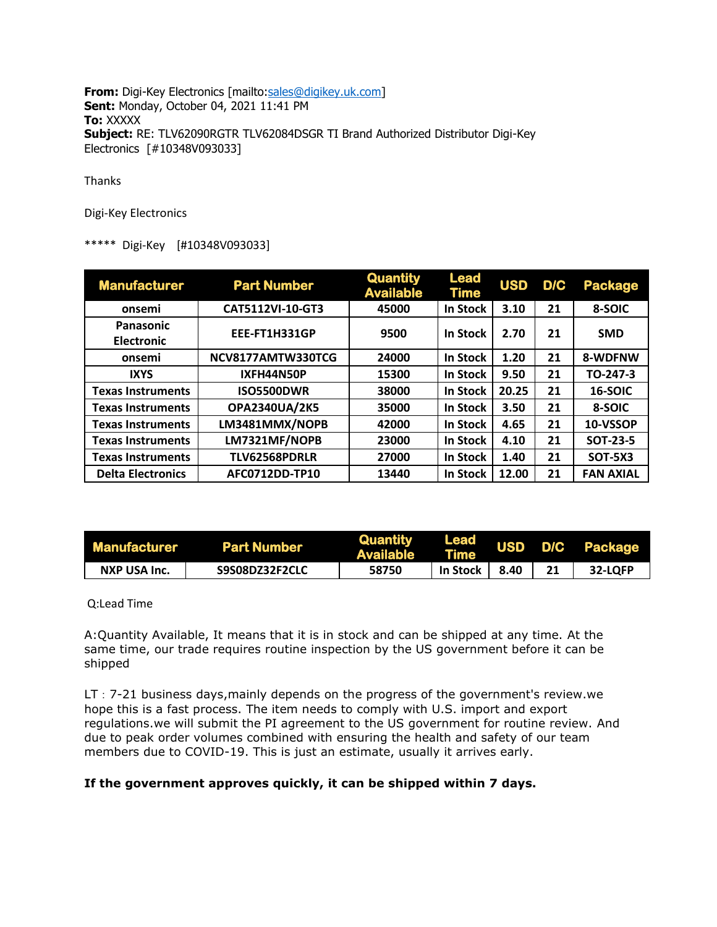**From:** Digi-Key Electronics [mailto:sales@digikey.uk.com] **Sent:** Monday, October 04, 2021 11:41 PM **To:** XXXXX **Subject:** RE: TLV62090RGTR TLV62084DSGR TI Brand Authorized Distributor Digi-Key Electronics [#10348V093033]

Thanks

Digi-Key Electronics

## \*\*\*\*\* Digi-Key [#10348V093033]

| <b>Manufacturer</b>            | <b>Part Number</b>   | <b>Quantity</b><br><b>Available</b> | <b>Lead</b><br>Time | <b>USD</b> | D/C | <b>Package</b>   |
|--------------------------------|----------------------|-------------------------------------|---------------------|------------|-----|------------------|
| onsemi                         | CAT5112VI-10-GT3     | 45000                               | In Stock            | 3.10       | 21  | 8-SOIC           |
| Panasonic<br><b>Electronic</b> | EEE-FT1H331GP        | 9500                                | <b>In Stock</b>     | 2.70       | 21  | <b>SMD</b>       |
| onsemi                         | NCV8177AMTW330TCG    | 24000                               | <b>In Stock</b>     | 1.20       | 21  | 8-WDFNW          |
| <b>IXYS</b>                    | IXFH44N50P           | 15300                               | In Stock            | 9.50       | 21  | TO-247-3         |
| <b>Texas Instruments</b>       | <b>ISO5500DWR</b>    | 38000                               | In Stock            | 20.25      | 21  | 16-SOIC          |
| <b>Texas Instruments</b>       | <b>OPA2340UA/2K5</b> | 35000                               | In Stock            | 3.50       | 21  | 8-SOIC           |
| <b>Texas Instruments</b>       | LM3481MMX/NOPB       | 42000                               | In Stock            | 4.65       | 21  | 10-VSSOP         |
| <b>Texas Instruments</b>       | LM7321MF/NOPB        | 23000                               | In Stock            | 4.10       | 21  | <b>SOT-23-5</b>  |
| <b>Texas Instruments</b>       | TLV62568PDRLR        | 27000                               | In Stock            | 1.40       | 21  | <b>SOT-5X3</b>   |
| <b>Delta Electronics</b>       | AFC0712DD-TP10       | 13440                               | In Stock            | 12.00      | 21  | <b>FAN AXIAL</b> |

| <b>Manufacturer</b> | <b>Part Number</b> | Quantity<br><b>Available</b> | Lead<br><b>Time</b> |      | USD D/C Package |
|---------------------|--------------------|------------------------------|---------------------|------|-----------------|
| NXP USA Inc.        | S9S08DZ32F2CLC     | 58750                        | In Stock            | 8.40 | 32-LOFP         |

Q:Lead Time

A:Quantity Available, It means that it is in stock and can be shipped at any time. At the same time, our trade requires routine inspection by the US government before it can be shipped

LT: 7-21 business days, mainly depends on the progress of the government's review.we hope this is a fast process. The item needs to comply with U.S. import and export regulations.we will submit the PI agreement to the US government for routine review. And due to peak order volumes combined with ensuring the health and safety of our team members due to COVID-19. This is just an estimate, usually it arrives early.

## **If the government approves quickly, it can be shipped within 7 days.**